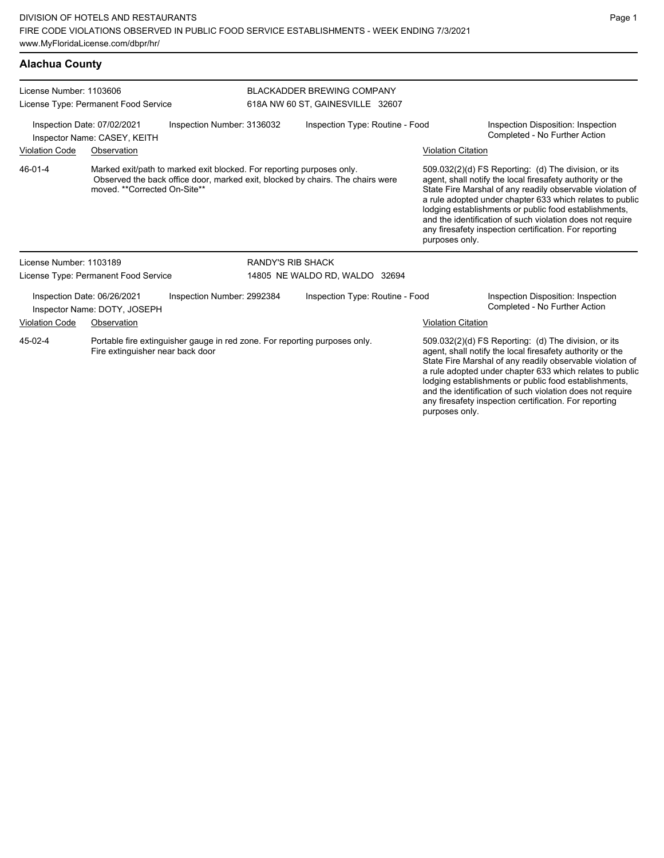| <b>Alachua County</b>                                                                     |                                                             |                                                                            |                                                                       |                                                                                |                                                                     |                                                                                                                                                                                                                                                                                                                                                                                                                            |
|-------------------------------------------------------------------------------------------|-------------------------------------------------------------|----------------------------------------------------------------------------|-----------------------------------------------------------------------|--------------------------------------------------------------------------------|---------------------------------------------------------------------|----------------------------------------------------------------------------------------------------------------------------------------------------------------------------------------------------------------------------------------------------------------------------------------------------------------------------------------------------------------------------------------------------------------------------|
| License Number: 1103606<br>License Type: Permanent Food Service                           |                                                             |                                                                            | <b>BLACKADDER BREWING COMPANY</b><br>618A NW 60 ST, GAINESVILLE 32607 |                                                                                |                                                                     |                                                                                                                                                                                                                                                                                                                                                                                                                            |
| Inspection Number: 3136032<br>Inspection Date: 07/02/2021<br>Inspector Name: CASEY, KEITH |                                                             |                                                                            | Inspection Type: Routine - Food                                       |                                                                                | Inspection Disposition: Inspection<br>Completed - No Further Action |                                                                                                                                                                                                                                                                                                                                                                                                                            |
| <b>Violation Code</b>                                                                     | Observation                                                 |                                                                            |                                                                       |                                                                                | <b>Violation Citation</b>                                           |                                                                                                                                                                                                                                                                                                                                                                                                                            |
| 46-01-4                                                                                   | moved. **Corrected On-Site**                                | Marked exit/path to marked exit blocked. For reporting purposes only.      |                                                                       | Observed the back office door, marked exit, blocked by chairs. The chairs were | purposes only.                                                      | 509.032(2)(d) FS Reporting: (d) The division, or its<br>agent, shall notify the local firesafety authority or the<br>State Fire Marshal of any readily observable violation of<br>a rule adopted under chapter 633 which relates to public<br>lodging establishments or public food establishments,<br>and the identification of such violation does not require<br>any firesafety inspection certification. For reporting |
| License Number: 1103189                                                                   |                                                             |                                                                            | RANDY'S RIB SHACK                                                     |                                                                                |                                                                     |                                                                                                                                                                                                                                                                                                                                                                                                                            |
| License Type: Permanent Food Service                                                      |                                                             | 14805 NE WALDO RD, WALDO 32694                                             |                                                                       |                                                                                |                                                                     |                                                                                                                                                                                                                                                                                                                                                                                                                            |
|                                                                                           | Inspection Date: 06/26/2021<br>Inspector Name: DOTY, JOSEPH | Inspection Number: 2992384                                                 |                                                                       | Inspection Type: Routine - Food                                                |                                                                     | Inspection Disposition: Inspection<br>Completed - No Further Action                                                                                                                                                                                                                                                                                                                                                        |
| <b>Violation Code</b>                                                                     | Observation                                                 |                                                                            |                                                                       |                                                                                | <b>Violation Citation</b>                                           |                                                                                                                                                                                                                                                                                                                                                                                                                            |
| 45-02-4                                                                                   | Fire extinguisher near back door                            | Portable fire extinguisher gauge in red zone. For reporting purposes only. |                                                                       |                                                                                |                                                                     | 509.032(2)(d) FS Reporting: (d) The division, or its<br>agent, shall notify the local firesafety authority or the                                                                                                                                                                                                                                                                                                          |

State Fire Marshal of any readily observable violation of a rule adopted under chapter 633 which relates to public lodging establishments or public food establishments, and the identification of such violation does not require any firesafety inspection certification. For reporting purposes only.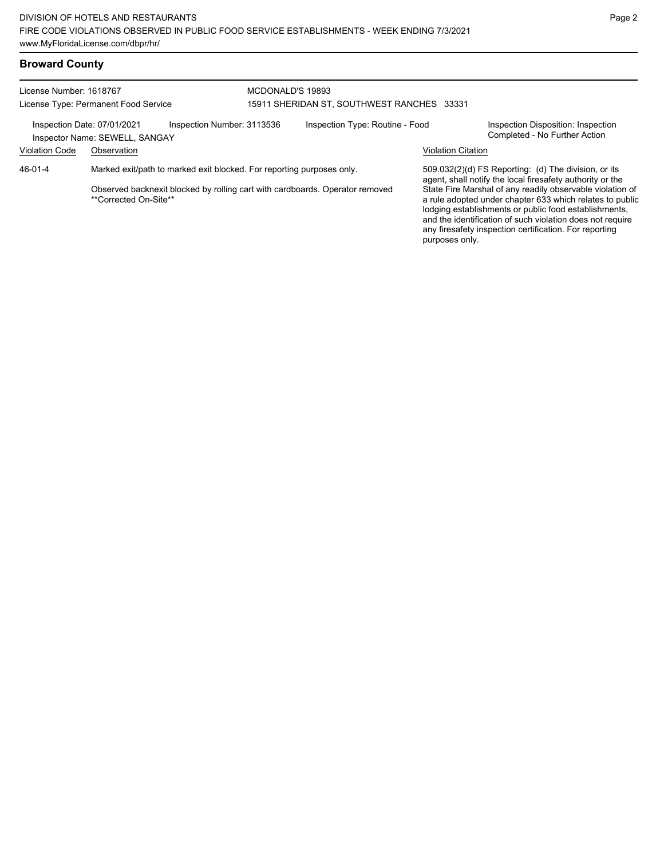## **Broward County**

| License Number: 1618767 | License Type: Permanent Food Service                          | MCDONALD'S 19893                                                             | 15911 SHERIDAN ST, SOUTHWEST RANCHES 33331 |                           |                                                                                                                                                                                                                                                                                                       |  |  |
|-------------------------|---------------------------------------------------------------|------------------------------------------------------------------------------|--------------------------------------------|---------------------------|-------------------------------------------------------------------------------------------------------------------------------------------------------------------------------------------------------------------------------------------------------------------------------------------------------|--|--|
|                         | Inspection Date: 07/01/2021<br>Inspector Name: SEWELL, SANGAY | Inspection Number: 3113536                                                   | Inspection Type: Routine - Food            |                           | Inspection Disposition: Inspection<br>Completed - No Further Action                                                                                                                                                                                                                                   |  |  |
| <b>Violation Code</b>   | Observation                                                   |                                                                              |                                            | <b>Violation Citation</b> |                                                                                                                                                                                                                                                                                                       |  |  |
| 46-01-4                 |                                                               | Marked exit/path to marked exit blocked. For reporting purposes only.        |                                            |                           | 509.032(2)(d) FS Reporting: (d) The division, or its<br>agent, shall notify the local firesafety authority or the                                                                                                                                                                                     |  |  |
|                         | **Corrected On-Site**                                         | Observed backnexit blocked by rolling cart with cardboards. Operator removed | purposes only.                             |                           | State Fire Marshal of any readily observable violation of<br>a rule adopted under chapter 633 which relates to public<br>lodging establishments or public food establishments,<br>and the identification of such violation does not require<br>any firesafety inspection certification. For reporting |  |  |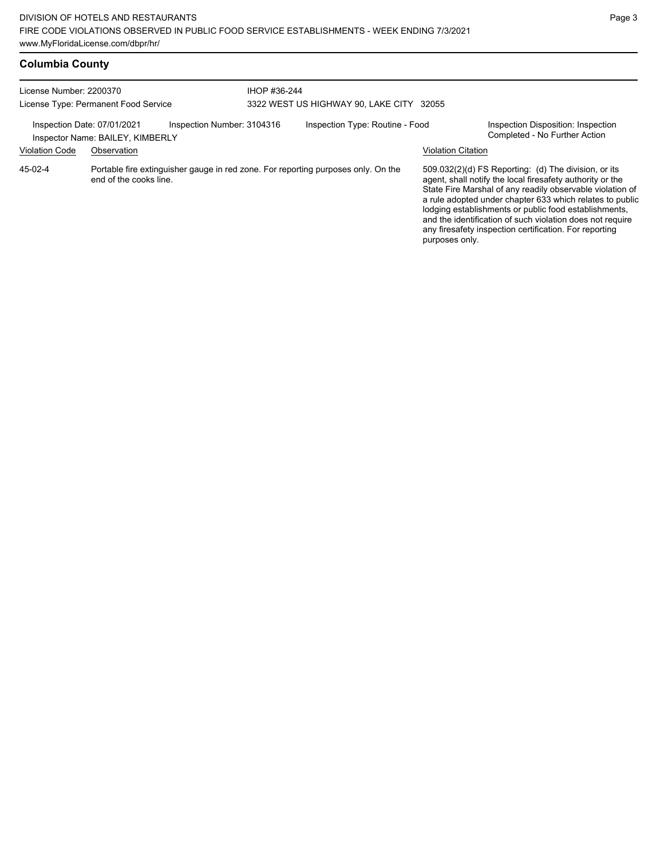| License Number: 2200370<br>License Type: Permanent Food Service |                                  |                            | IHOP #36-244 | 3322 WEST US HIGHWAY 90, LAKE CITY 32055                                          |                           |                                                                                                                                                                                                                                                                                                                                                                                                                            |
|-----------------------------------------------------------------|----------------------------------|----------------------------|--------------|-----------------------------------------------------------------------------------|---------------------------|----------------------------------------------------------------------------------------------------------------------------------------------------------------------------------------------------------------------------------------------------------------------------------------------------------------------------------------------------------------------------------------------------------------------------|
| Inspection Date: 07/01/2021                                     | Inspector Name: BAILEY, KIMBERLY | Inspection Number: 3104316 |              | Inspection Type: Routine - Food                                                   |                           | Inspection Disposition: Inspection<br>Completed - No Further Action                                                                                                                                                                                                                                                                                                                                                        |
| <b>Violation Code</b>                                           | Observation                      |                            |              |                                                                                   | <b>Violation Citation</b> |                                                                                                                                                                                                                                                                                                                                                                                                                            |
| 45-02-4                                                         | end of the cooks line.           |                            |              | Portable fire extinguisher gauge in red zone. For reporting purposes only. On the | purposes only.            | 509.032(2)(d) FS Reporting: (d) The division, or its<br>agent, shall notify the local firesafety authority or the<br>State Fire Marshal of any readily observable violation of<br>a rule adopted under chapter 633 which relates to public<br>lodging establishments or public food establishments,<br>and the identification of such violation does not require<br>any firesafety inspection certification. For reporting |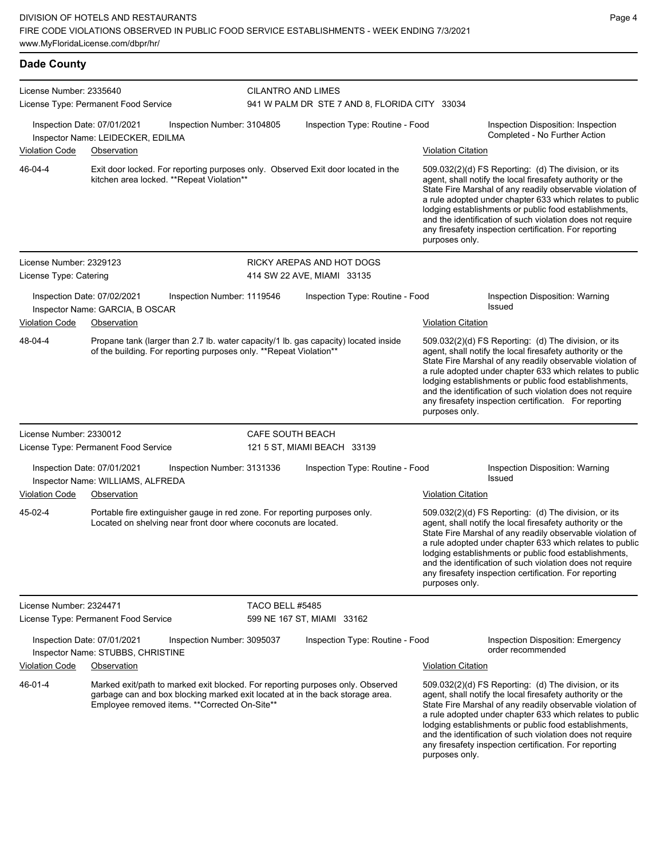| License Number: 2335640 | License Type: Permanent Food Service                             |                                                                                                                                               | CILANTRO AND LIMES<br>941 W PALM DR STE 7 AND 8, FLORIDA CITY 33034 |                                                                                                                                                                 |                           |                                                                                                                                                                                                                                                                                                                                                                                                                              |  |
|-------------------------|------------------------------------------------------------------|-----------------------------------------------------------------------------------------------------------------------------------------------|---------------------------------------------------------------------|-----------------------------------------------------------------------------------------------------------------------------------------------------------------|---------------------------|------------------------------------------------------------------------------------------------------------------------------------------------------------------------------------------------------------------------------------------------------------------------------------------------------------------------------------------------------------------------------------------------------------------------------|--|
|                         | Inspection Date: 07/01/2021<br>Inspector Name: LEIDECKER, EDILMA | Inspection Number: 3104805                                                                                                                    |                                                                     | Inspection Type: Routine - Food                                                                                                                                 |                           | Inspection Disposition: Inspection<br>Completed - No Further Action                                                                                                                                                                                                                                                                                                                                                          |  |
| <b>Violation Code</b>   | Observation                                                      |                                                                                                                                               |                                                                     |                                                                                                                                                                 | <b>Violation Citation</b> |                                                                                                                                                                                                                                                                                                                                                                                                                              |  |
| 46-04-4                 |                                                                  | kitchen area locked. ** Repeat Violation**                                                                                                    |                                                                     | Exit door locked. For reporting purposes only. Observed Exit door located in the                                                                                | purposes only.            | 509.032(2)(d) FS Reporting: (d) The division, or its<br>agent, shall notify the local firesafety authority or the<br>State Fire Marshal of any readily observable violation of<br>a rule adopted under chapter 633 which relates to public<br>lodging establishments or public food establishments,<br>and the identification of such violation does not require<br>any firesafety inspection certification. For reporting   |  |
| License Number: 2329123 |                                                                  |                                                                                                                                               |                                                                     | RICKY AREPAS AND HOT DOGS                                                                                                                                       |                           |                                                                                                                                                                                                                                                                                                                                                                                                                              |  |
| License Type: Catering  |                                                                  |                                                                                                                                               |                                                                     | 414 SW 22 AVE, MIAMI 33135                                                                                                                                      |                           |                                                                                                                                                                                                                                                                                                                                                                                                                              |  |
|                         | Inspection Date: 07/02/2021<br>Inspector Name: GARCIA, B OSCAR   | Inspection Number: 1119546                                                                                                                    |                                                                     | Inspection Type: Routine - Food                                                                                                                                 |                           | Inspection Disposition: Warning<br><b>Issued</b>                                                                                                                                                                                                                                                                                                                                                                             |  |
| <b>Violation Code</b>   | Observation                                                      |                                                                                                                                               |                                                                     |                                                                                                                                                                 | <b>Violation Citation</b> |                                                                                                                                                                                                                                                                                                                                                                                                                              |  |
| 48-04-4                 |                                                                  | of the building. For reporting purposes only. **Repeat Violation**                                                                            |                                                                     | Propane tank (larger than 2.7 lb. water capacity/1 lb. gas capacity) located inside                                                                             | purposes only.            | 509.032(2)(d) FS Reporting: (d) The division, or its<br>agent, shall notify the local firesafety authority or the<br>State Fire Marshal of any readily observable violation of<br>a rule adopted under chapter 633 which relates to public<br>lodging establishments or public food establishments,<br>and the identification of such violation does not require<br>any firesafety inspection certification. For reporting   |  |
| License Number: 2330012 | License Type: Permanent Food Service                             |                                                                                                                                               |                                                                     | CAFE SOUTH BEACH<br>121 5 ST, MIAMI BEACH 33139                                                                                                                 |                           |                                                                                                                                                                                                                                                                                                                                                                                                                              |  |
|                         | Inspection Date: 07/01/2021<br>Inspector Name: WILLIAMS, ALFREDA | Inspection Number: 3131336                                                                                                                    |                                                                     | Inspection Type: Routine - Food                                                                                                                                 |                           | Inspection Disposition: Warning<br><b>Issued</b>                                                                                                                                                                                                                                                                                                                                                                             |  |
| <b>Violation Code</b>   | Observation                                                      |                                                                                                                                               |                                                                     |                                                                                                                                                                 | <b>Violation Citation</b> |                                                                                                                                                                                                                                                                                                                                                                                                                              |  |
| 45-02-4                 |                                                                  | Portable fire extinguisher gauge in red zone. For reporting purposes only.<br>Located on shelving near front door where coconuts are located. |                                                                     |                                                                                                                                                                 | purposes only.            | 509.032(2)(d) FS Reporting: (d) The division, or its<br>agent, shall notify the local firesafety authority or the<br>State Fire Marshal of any readily observable violation of<br>a rule adopted under chapter 633 which relates to public<br>lodging establishments or public food establishments,<br>and the identification of such violation does not require<br>any firesafety inspection certification. For reporting   |  |
| License Number: 2324471 |                                                                  |                                                                                                                                               | <b>TACO BELL #5485</b>                                              |                                                                                                                                                                 |                           |                                                                                                                                                                                                                                                                                                                                                                                                                              |  |
|                         | License Type: Permanent Food Service                             |                                                                                                                                               |                                                                     | 599 NE 167 ST, MIAMI 33162                                                                                                                                      |                           |                                                                                                                                                                                                                                                                                                                                                                                                                              |  |
|                         | Inspection Date: 07/01/2021<br>Inspector Name: STUBBS, CHRISTINE | Inspection Number: 3095037                                                                                                                    |                                                                     | Inspection Type: Routine - Food                                                                                                                                 |                           | Inspection Disposition: Emergency<br>order recommended                                                                                                                                                                                                                                                                                                                                                                       |  |
| <b>Violation Code</b>   | Observation                                                      |                                                                                                                                               |                                                                     |                                                                                                                                                                 | <b>Violation Citation</b> |                                                                                                                                                                                                                                                                                                                                                                                                                              |  |
| 46-01-4                 |                                                                  | Employee removed items. ** Corrected On-Site**                                                                                                |                                                                     | Marked exit/path to marked exit blocked. For reporting purposes only. Observed<br>garbage can and box blocking marked exit located at in the back storage area. | purposes only.            | $509.032(2)(d)$ FS Reporting: (d) The division, or its<br>agent, shall notify the local firesafety authority or the<br>State Fire Marshal of any readily observable violation of<br>a rule adopted under chapter 633 which relates to public<br>lodging establishments or public food establishments,<br>and the identification of such violation does not require<br>any firesafety inspection certification. For reporting |  |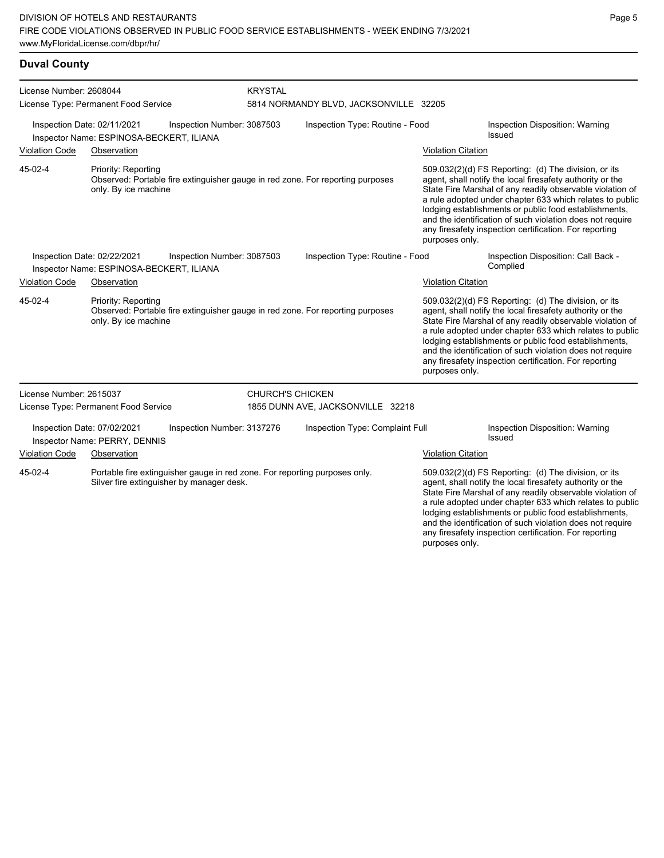### **Duval County**

| License Number: 2608044     | License Type: Permanent Food Service        |                                                                                                                         | <b>KRYSTAL</b>          | 5814 NORMANDY BLVD, JACKSONVILLE 32205                                         |                           |                                                                                                                                                                                                                                                                                                                                                                                                                            |
|-----------------------------|---------------------------------------------|-------------------------------------------------------------------------------------------------------------------------|-------------------------|--------------------------------------------------------------------------------|---------------------------|----------------------------------------------------------------------------------------------------------------------------------------------------------------------------------------------------------------------------------------------------------------------------------------------------------------------------------------------------------------------------------------------------------------------------|
| Inspection Date: 02/11/2021 | Inspector Name: ESPINOSA-BECKERT, ILIANA    | Inspection Number: 3087503                                                                                              |                         | Inspection Type: Routine - Food                                                |                           | Inspection Disposition: Warning<br>Issued                                                                                                                                                                                                                                                                                                                                                                                  |
| <b>Violation Code</b>       | Observation                                 |                                                                                                                         |                         |                                                                                | <b>Violation Citation</b> |                                                                                                                                                                                                                                                                                                                                                                                                                            |
| 45-02-4                     | Priority: Reporting<br>only. By ice machine |                                                                                                                         |                         | Observed: Portable fire extinguisher gauge in red zone. For reporting purposes | purposes only.            | 509.032(2)(d) FS Reporting: (d) The division, or its<br>agent, shall notify the local firesafety authority or the<br>State Fire Marshal of any readily observable violation of<br>a rule adopted under chapter 633 which relates to public<br>lodging establishments or public food establishments,<br>and the identification of such violation does not require<br>any firesafety inspection certification. For reporting |
| Inspection Date: 02/22/2021 | Inspector Name: ESPINOSA-BECKERT, ILIANA    | Inspection Number: 3087503                                                                                              |                         | Inspection Type: Routine - Food                                                |                           | Inspection Disposition: Call Back -<br>Complied                                                                                                                                                                                                                                                                                                                                                                            |
| <b>Violation Code</b>       | Observation                                 |                                                                                                                         |                         |                                                                                | <b>Violation Citation</b> |                                                                                                                                                                                                                                                                                                                                                                                                                            |
| 45-02-4                     | Priority: Reporting<br>only. By ice machine |                                                                                                                         |                         | Observed: Portable fire extinguisher gauge in red zone. For reporting purposes | purposes only.            | 509.032(2)(d) FS Reporting: (d) The division, or its<br>agent, shall notify the local firesafety authority or the<br>State Fire Marshal of any readily observable violation of<br>a rule adopted under chapter 633 which relates to public<br>lodging establishments or public food establishments,<br>and the identification of such violation does not require<br>any firesafety inspection certification. For reporting |
| License Number: 2615037     |                                             |                                                                                                                         | <b>CHURCH'S CHICKEN</b> |                                                                                |                           |                                                                                                                                                                                                                                                                                                                                                                                                                            |
|                             | License Type: Permanent Food Service        |                                                                                                                         |                         | 1855 DUNN AVE, JACKSONVILLE 32218                                              |                           |                                                                                                                                                                                                                                                                                                                                                                                                                            |
| Inspection Date: 07/02/2021 | Inspector Name: PERRY, DENNIS               | Inspection Number: 3137276                                                                                              |                         | Inspection Type: Complaint Full                                                |                           | Inspection Disposition: Warning<br>Issued                                                                                                                                                                                                                                                                                                                                                                                  |
| <b>Violation Code</b>       | Observation                                 |                                                                                                                         |                         |                                                                                | <b>Violation Citation</b> |                                                                                                                                                                                                                                                                                                                                                                                                                            |
| 45-02-4                     |                                             | Portable fire extinguisher gauge in red zone. For reporting purposes only.<br>Silver fire extinguisher by manager desk. |                         |                                                                                |                           | 509.032(2)(d) FS Reporting: (d) The division, or its<br>agent, shall notify the local firesafety authority or the<br>State Fire Marshal of any readily observable violation of<br>a rule adopted under chapter 633 which relates to public<br>lodging establishments or public food establishments,<br>and the identification of such violation does not require<br>any firesafety inspection certification. For reporting |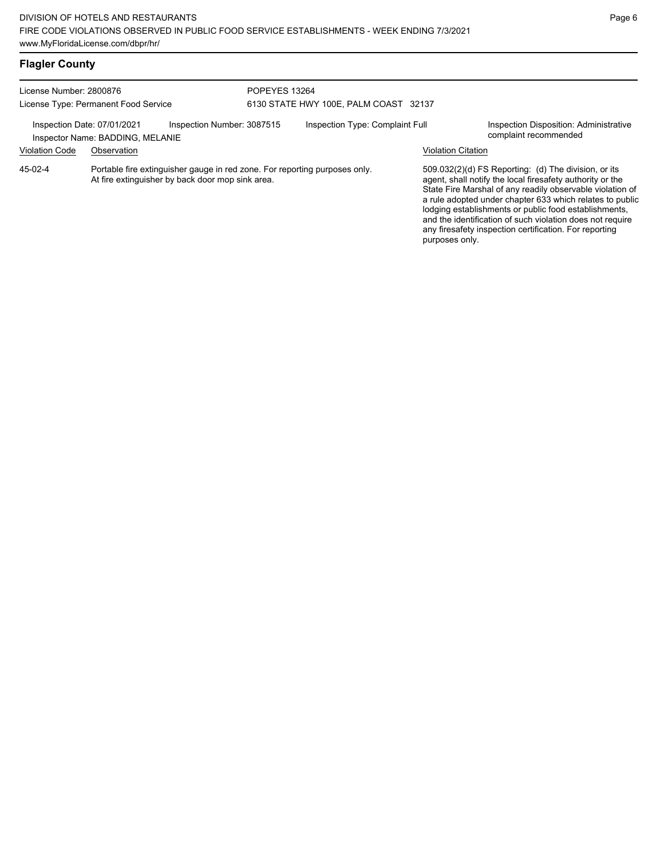| <b>Flagler County</b>                |                                                                 |                                                                                                                                |               |                                       |                           |                                                                                                                                                                                                                                                                                                                                                                                                                            |
|--------------------------------------|-----------------------------------------------------------------|--------------------------------------------------------------------------------------------------------------------------------|---------------|---------------------------------------|---------------------------|----------------------------------------------------------------------------------------------------------------------------------------------------------------------------------------------------------------------------------------------------------------------------------------------------------------------------------------------------------------------------------------------------------------------------|
| License Number: 2800876              |                                                                 |                                                                                                                                | POPEYES 13264 |                                       |                           |                                                                                                                                                                                                                                                                                                                                                                                                                            |
| License Type: Permanent Food Service |                                                                 |                                                                                                                                |               | 6130 STATE HWY 100E, PALM COAST 32137 |                           |                                                                                                                                                                                                                                                                                                                                                                                                                            |
|                                      | Inspection Date: 07/01/2021<br>Inspector Name: BADDING, MELANIE | Inspection Number: 3087515                                                                                                     |               | Inspection Type: Complaint Full       |                           | Inspection Disposition: Administrative<br>complaint recommended                                                                                                                                                                                                                                                                                                                                                            |
| <b>Violation Code</b>                | Observation                                                     |                                                                                                                                |               |                                       | <b>Violation Citation</b> |                                                                                                                                                                                                                                                                                                                                                                                                                            |
| 45-02-4                              |                                                                 | Portable fire extinguisher gauge in red zone. For reporting purposes only.<br>At fire extinguisher by back door mop sink area. |               |                                       | purposes only.            | 509.032(2)(d) FS Reporting: (d) The division, or its<br>agent, shall notify the local firesafety authority or the<br>State Fire Marshal of any readily observable violation of<br>a rule adopted under chapter 633 which relates to public<br>lodging establishments or public food establishments,<br>and the identification of such violation does not require<br>any firesafety inspection certification. For reporting |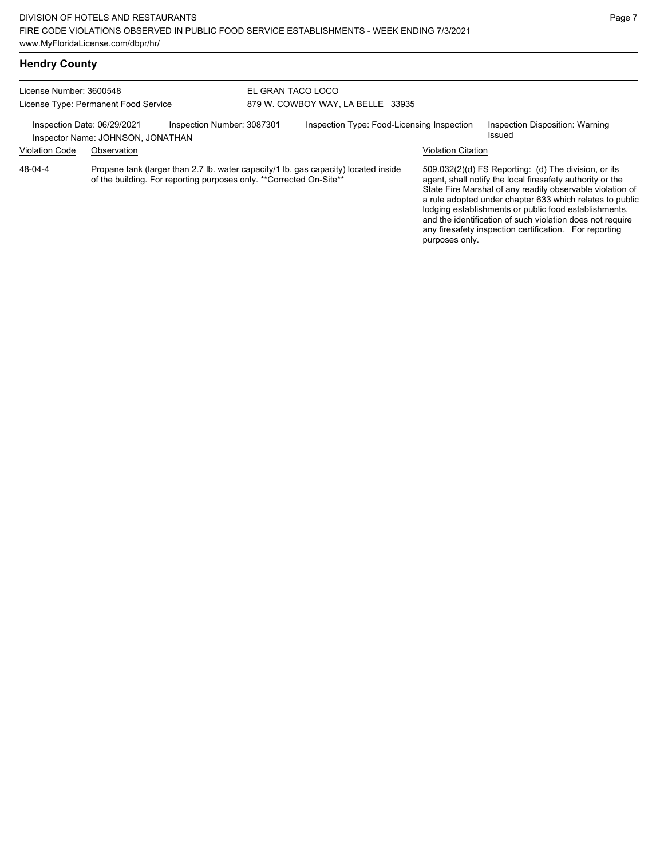| License Number: 3600548 |                                                                  |                                                                     | EL GRAN TACO LOCO |                                                                                     |                           |                                                                                                                                                                                                                                                                                                                                                                    |
|-------------------------|------------------------------------------------------------------|---------------------------------------------------------------------|-------------------|-------------------------------------------------------------------------------------|---------------------------|--------------------------------------------------------------------------------------------------------------------------------------------------------------------------------------------------------------------------------------------------------------------------------------------------------------------------------------------------------------------|
|                         | License Type: Permanent Food Service                             |                                                                     |                   | 879 W. COWBOY WAY, LA BELLE 33935                                                   |                           |                                                                                                                                                                                                                                                                                                                                                                    |
|                         | Inspection Date: 06/29/2021<br>Inspector Name: JOHNSON, JONATHAN | Inspection Number: 3087301                                          |                   | Inspection Type: Food-Licensing Inspection                                          |                           | Inspection Disposition: Warning<br>Issued                                                                                                                                                                                                                                                                                                                          |
| <b>Violation Code</b>   | Observation                                                      |                                                                     |                   |                                                                                     | <b>Violation Citation</b> |                                                                                                                                                                                                                                                                                                                                                                    |
| 48-04-4                 |                                                                  | of the building. For reporting purposes only. **Corrected On-Site** |                   | Propane tank (larger than 2.7 lb. water capacity/1 lb. gas capacity) located inside |                           | $509.032(2)(d)$ FS Reporting: (d) The division, or its<br>agent, shall notify the local firesafety authority or the<br>State Fire Marshal of any readily observable violation of<br>a rule adopted under chapter 633 which relates to public<br>lodging establishments or public food establishments,<br>and the identification of such violation does not require |

any firesafety inspection certification. For reporting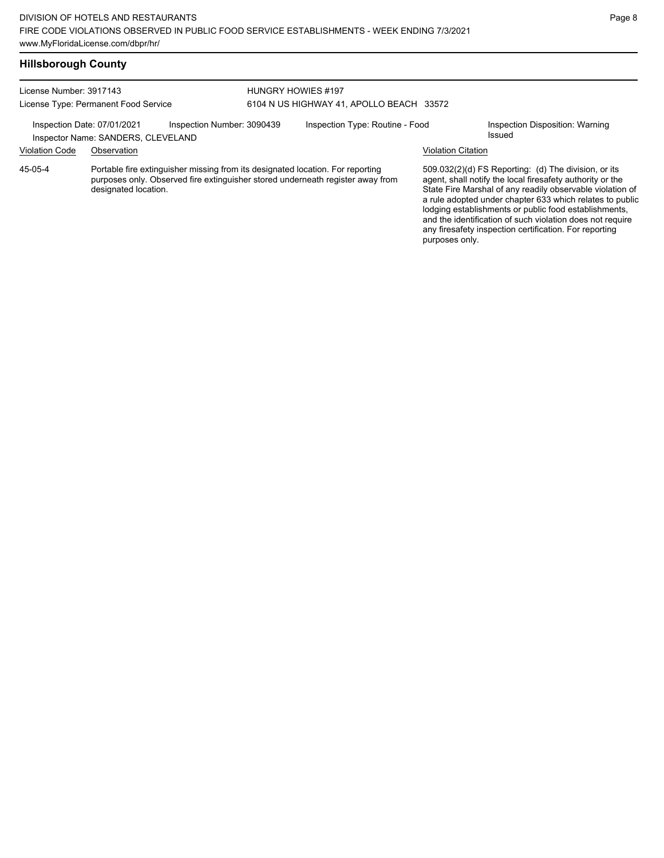### **Hillsborough County**

| License Number: 3917143              |                                                                   |                            | HUNGRY HOWIES #197                       |                                                                                                                                                                  |                           |                                                                                                                                                                                                                                                                                                                                                                                                                            |
|--------------------------------------|-------------------------------------------------------------------|----------------------------|------------------------------------------|------------------------------------------------------------------------------------------------------------------------------------------------------------------|---------------------------|----------------------------------------------------------------------------------------------------------------------------------------------------------------------------------------------------------------------------------------------------------------------------------------------------------------------------------------------------------------------------------------------------------------------------|
| License Type: Permanent Food Service |                                                                   |                            | 6104 N US HIGHWAY 41, APOLLO BEACH 33572 |                                                                                                                                                                  |                           |                                                                                                                                                                                                                                                                                                                                                                                                                            |
|                                      | Inspection Date: 07/01/2021<br>Inspector Name: SANDERS, CLEVELAND | Inspection Number: 3090439 |                                          | Inspection Type: Routine - Food                                                                                                                                  |                           | Inspection Disposition: Warning<br>Issued                                                                                                                                                                                                                                                                                                                                                                                  |
| <b>Violation Code</b>                | Observation                                                       |                            |                                          |                                                                                                                                                                  | <b>Violation Citation</b> |                                                                                                                                                                                                                                                                                                                                                                                                                            |
| 45-05-4                              | designated location.                                              |                            |                                          | Portable fire extinguisher missing from its designated location. For reporting<br>purposes only. Observed fire extinguisher stored underneath register away from |                           | 509.032(2)(d) FS Reporting: (d) The division, or its<br>agent, shall notify the local firesafety authority or the<br>State Fire Marshal of any readily observable violation of<br>a rule adopted under chapter 633 which relates to public<br>lodging establishments or public food establishments,<br>and the identification of such violation does not require<br>any firesafety inspection certification. For reporting |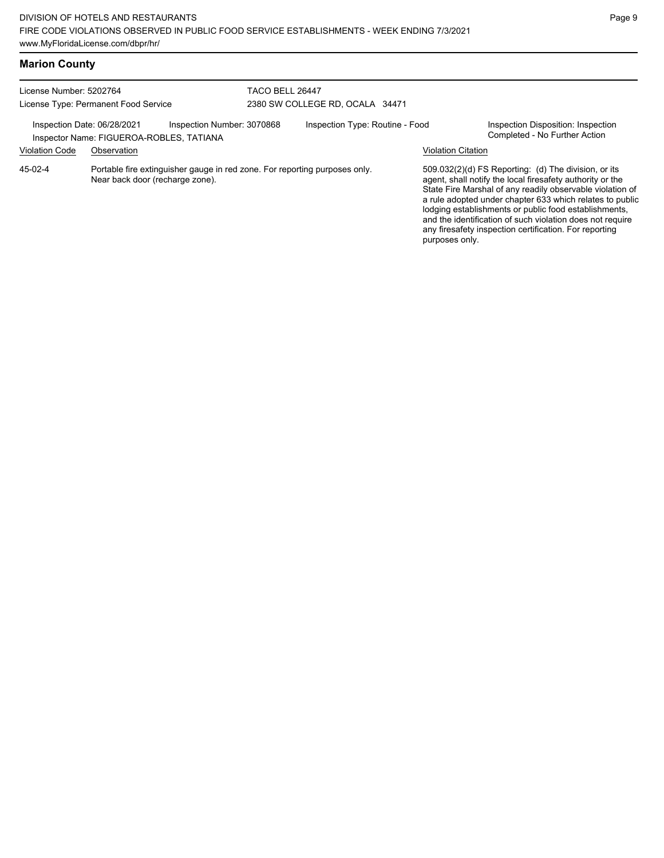|  | <b>Marion County</b> |  |  |
|--|----------------------|--|--|
|--|----------------------|--|--|

| License Number: 5202764<br>License Type: Permanent Food Service |                             |                                                                                                               | TACO BELL 26447 | 2380 SW COLLEGE RD, OCALA 34471 |                           |                                                                                                                                                                                                                                                                                                                                                                                                                            |
|-----------------------------------------------------------------|-----------------------------|---------------------------------------------------------------------------------------------------------------|-----------------|---------------------------------|---------------------------|----------------------------------------------------------------------------------------------------------------------------------------------------------------------------------------------------------------------------------------------------------------------------------------------------------------------------------------------------------------------------------------------------------------------------|
|                                                                 | Inspection Date: 06/28/2021 | Inspection Number: 3070868<br>Inspector Name: FIGUEROA-ROBLES, TATIANA                                        |                 | Inspection Type: Routine - Food |                           | Inspection Disposition: Inspection<br>Completed - No Further Action                                                                                                                                                                                                                                                                                                                                                        |
| <b>Violation Code</b>                                           | Observation                 |                                                                                                               |                 |                                 | <b>Violation Citation</b> |                                                                                                                                                                                                                                                                                                                                                                                                                            |
| 45-02-4                                                         |                             | Portable fire extinguisher gauge in red zone. For reporting purposes only.<br>Near back door (recharge zone). |                 |                                 | purposes only.            | 509.032(2)(d) FS Reporting: (d) The division, or its<br>agent, shall notify the local firesafety authority or the<br>State Fire Marshal of any readily observable violation of<br>a rule adopted under chapter 633 which relates to public<br>lodging establishments or public food establishments,<br>and the identification of such violation does not require<br>any firesafety inspection certification. For reporting |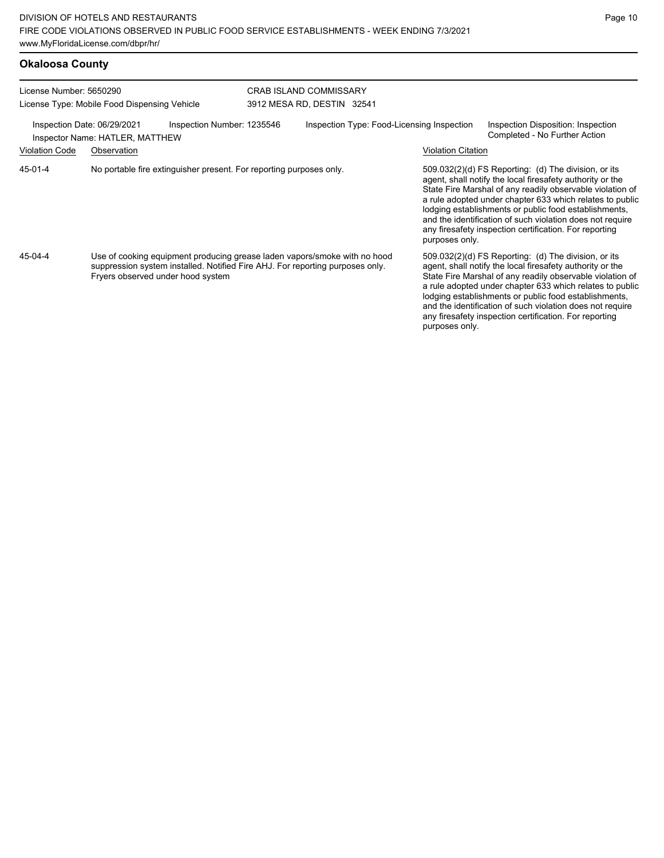| <b>Okaloosa County</b>                                                  |                                                                                              |                                                                                                                                                            |                                                             |                           |                                                                                                                                                                                                                                                                                                                                                                                                                            |
|-------------------------------------------------------------------------|----------------------------------------------------------------------------------------------|------------------------------------------------------------------------------------------------------------------------------------------------------------|-------------------------------------------------------------|---------------------------|----------------------------------------------------------------------------------------------------------------------------------------------------------------------------------------------------------------------------------------------------------------------------------------------------------------------------------------------------------------------------------------------------------------------------|
| License Number: 5650290<br>License Type: Mobile Food Dispensing Vehicle |                                                                                              |                                                                                                                                                            | <b>CRAB ISLAND COMMISSARY</b><br>3912 MESA RD, DESTIN 32541 |                           |                                                                                                                                                                                                                                                                                                                                                                                                                            |
|                                                                         | Inspection Number: 1235546<br>Inspection Date: 06/29/2021<br>Inspector Name: HATLER, MATTHEW |                                                                                                                                                            | Inspection Type: Food-Licensing Inspection                  |                           | Inspection Disposition: Inspection<br>Completed - No Further Action                                                                                                                                                                                                                                                                                                                                                        |
| <b>Violation Code</b>                                                   | Observation                                                                                  |                                                                                                                                                            |                                                             | <b>Violation Citation</b> |                                                                                                                                                                                                                                                                                                                                                                                                                            |
| $45 - 01 - 4$                                                           | No portable fire extinguisher present. For reporting purposes only.                          |                                                                                                                                                            |                                                             | purposes only.            | 509.032(2)(d) FS Reporting: (d) The division, or its<br>agent, shall notify the local firesafety authority or the<br>State Fire Marshal of any readily observable violation of<br>a rule adopted under chapter 633 which relates to public<br>lodging establishments or public food establishments,<br>and the identification of such violation does not require<br>any firesafety inspection certification. For reporting |
| 45-04-4                                                                 | Fryers observed under hood system                                                            | Use of cooking equipment producing grease laden vapors/smoke with no hood<br>suppression system installed. Notified Fire AHJ. For reporting purposes only. |                                                             | purposes only.            | 509.032(2)(d) FS Reporting: (d) The division, or its<br>agent, shall notify the local firesafety authority or the<br>State Fire Marshal of any readily observable violation of<br>a rule adopted under chapter 633 which relates to public<br>lodging establishments or public food establishments,<br>and the identification of such violation does not require<br>any firesafety inspection certification. For reporting |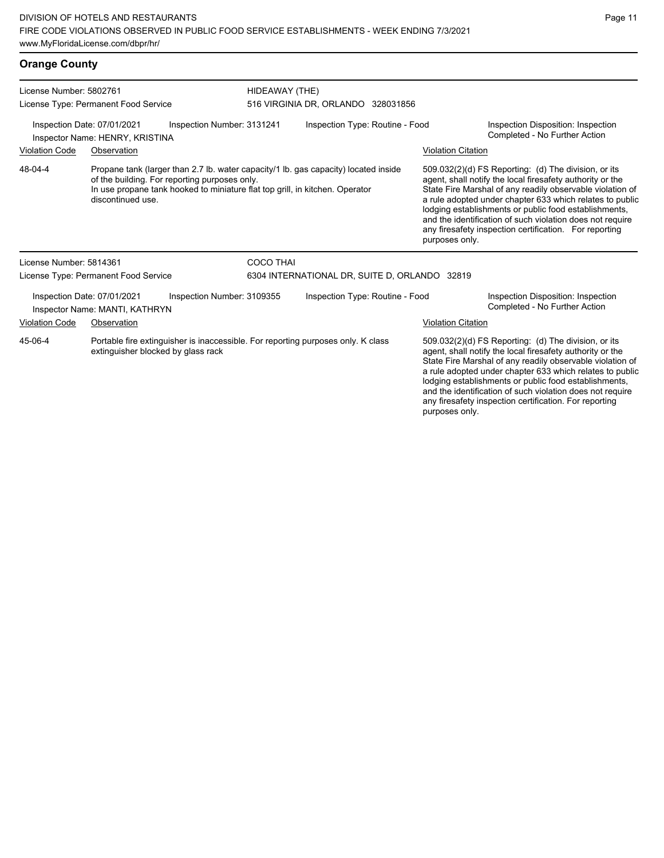### **Orange County**

| License Number: 5802761<br>License Type: Permanent Food Service                                                                   |                                                               |                                                                                                                                                                                                                                           | HIDEAWAY (THE)                  |                                               |  |                                                                                                                                                                                                                                                                                                                                                                                                                                              |                                                                     |  |
|-----------------------------------------------------------------------------------------------------------------------------------|---------------------------------------------------------------|-------------------------------------------------------------------------------------------------------------------------------------------------------------------------------------------------------------------------------------------|---------------------------------|-----------------------------------------------|--|----------------------------------------------------------------------------------------------------------------------------------------------------------------------------------------------------------------------------------------------------------------------------------------------------------------------------------------------------------------------------------------------------------------------------------------------|---------------------------------------------------------------------|--|
|                                                                                                                                   |                                                               | 516 VIRGINIA DR, ORLANDO 328031856                                                                                                                                                                                                        |                                 |                                               |  |                                                                                                                                                                                                                                                                                                                                                                                                                                              |                                                                     |  |
| Inspection Date: 07/01/2021<br>Inspection Number: 3131241<br>Inspector Name: HENRY, KRISTINA                                      |                                                               |                                                                                                                                                                                                                                           | Inspection Type: Routine - Food |                                               |  | Inspection Disposition: Inspection<br>Completed - No Further Action                                                                                                                                                                                                                                                                                                                                                                          |                                                                     |  |
| <b>Violation Code</b>                                                                                                             | Observation                                                   |                                                                                                                                                                                                                                           |                                 |                                               |  | <b>Violation Citation</b>                                                                                                                                                                                                                                                                                                                                                                                                                    |                                                                     |  |
| 48-04-4                                                                                                                           |                                                               | Propane tank (larger than 2.7 lb. water capacity/1 lb. gas capacity) located inside<br>of the building. For reporting purposes only.<br>In use propane tank hooked to miniature flat top grill, in kitchen. Operator<br>discontinued use. |                                 |                                               |  | 509.032(2)(d) FS Reporting: (d) The division, or its<br>agent, shall notify the local firesafety authority or the<br>State Fire Marshal of any readily observable violation of<br>a rule adopted under chapter 633 which relates to public<br>lodging establishments or public food establishments,<br>and the identification of such violation does not require<br>any firesafety inspection certification. For reporting<br>purposes only. |                                                                     |  |
| License Number: 5814361                                                                                                           |                                                               |                                                                                                                                                                                                                                           | <b>COCO THAI</b>                |                                               |  |                                                                                                                                                                                                                                                                                                                                                                                                                                              |                                                                     |  |
|                                                                                                                                   | License Type: Permanent Food Service                          |                                                                                                                                                                                                                                           |                                 | 6304 INTERNATIONAL DR, SUITE D, ORLANDO 32819 |  |                                                                                                                                                                                                                                                                                                                                                                                                                                              |                                                                     |  |
|                                                                                                                                   | Inspection Date: 07/01/2021<br>Inspector Name: MANTI, KATHRYN | Inspection Number: 3109355                                                                                                                                                                                                                |                                 | Inspection Type: Routine - Food               |  |                                                                                                                                                                                                                                                                                                                                                                                                                                              | Inspection Disposition: Inspection<br>Completed - No Further Action |  |
| <b>Violation Code</b>                                                                                                             | Observation                                                   |                                                                                                                                                                                                                                           |                                 |                                               |  | <b>Violation Citation</b>                                                                                                                                                                                                                                                                                                                                                                                                                    |                                                                     |  |
| 45-06-4<br>Portable fire extinguisher is inaccessible. For reporting purposes only. K class<br>extinguisher blocked by glass rack |                                                               |                                                                                                                                                                                                                                           |                                 |                                               |  | 509.032(2)(d) FS Reporting: (d) The division, or its<br>agent, shall notify the local firesafety authority or the<br>State Fire Marshal of any readily observable violation of<br>a rule adopted under chapter 633 which relates to public<br>lodging establishments or public food establishments,                                                                                                                                          |                                                                     |  |

and the identification of such violation does not require any firesafety inspection certification. For reporting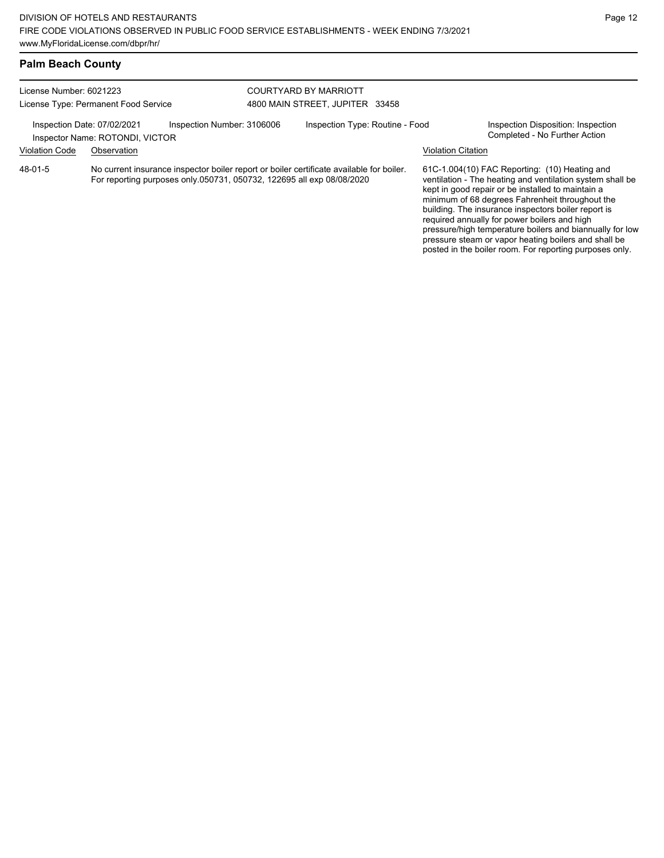pressure/high temperature boilers and biannually for low pressure steam or vapor heating boilers and shall be posted in the boiler room. For reporting purposes only.

| <b>Palm Beach County</b>             |                                                                                                                                                                   |                            |                                 |                                 |                                                                                                                                                                                                                                                                                                                           |                           |                                                                     |
|--------------------------------------|-------------------------------------------------------------------------------------------------------------------------------------------------------------------|----------------------------|---------------------------------|---------------------------------|---------------------------------------------------------------------------------------------------------------------------------------------------------------------------------------------------------------------------------------------------------------------------------------------------------------------------|---------------------------|---------------------------------------------------------------------|
| License Number: 6021223              |                                                                                                                                                                   |                            | COURTYARD BY MARRIOTT           |                                 |                                                                                                                                                                                                                                                                                                                           |                           |                                                                     |
| License Type: Permanent Food Service |                                                                                                                                                                   |                            | 4800 MAIN STREET. JUPITER 33458 |                                 |                                                                                                                                                                                                                                                                                                                           |                           |                                                                     |
|                                      | Inspection Date: 07/02/2021<br>Inspector Name: ROTONDI, VICTOR                                                                                                    | Inspection Number: 3106006 |                                 | Inspection Type: Routine - Food |                                                                                                                                                                                                                                                                                                                           |                           | Inspection Disposition: Inspection<br>Completed - No Further Action |
| <b>Violation Code</b>                | Observation                                                                                                                                                       |                            |                                 |                                 |                                                                                                                                                                                                                                                                                                                           | <b>Violation Citation</b> |                                                                     |
| 48-01-5                              | No current insurance inspector boiler report or boiler certificate available for boiler.<br>For reporting purposes only 050731, 050732, 122695 all exp 08/08/2020 |                            |                                 |                                 | 61C-1.004(10) FAC Reporting: (10) Heating and<br>ventilation - The heating and ventilation system shall be<br>kept in good repair or be installed to maintain a<br>minimum of 68 degrees Fahrenheit throughout the<br>building. The insurance inspectors boiler report is<br>required annually for power boilers and high |                           |                                                                     |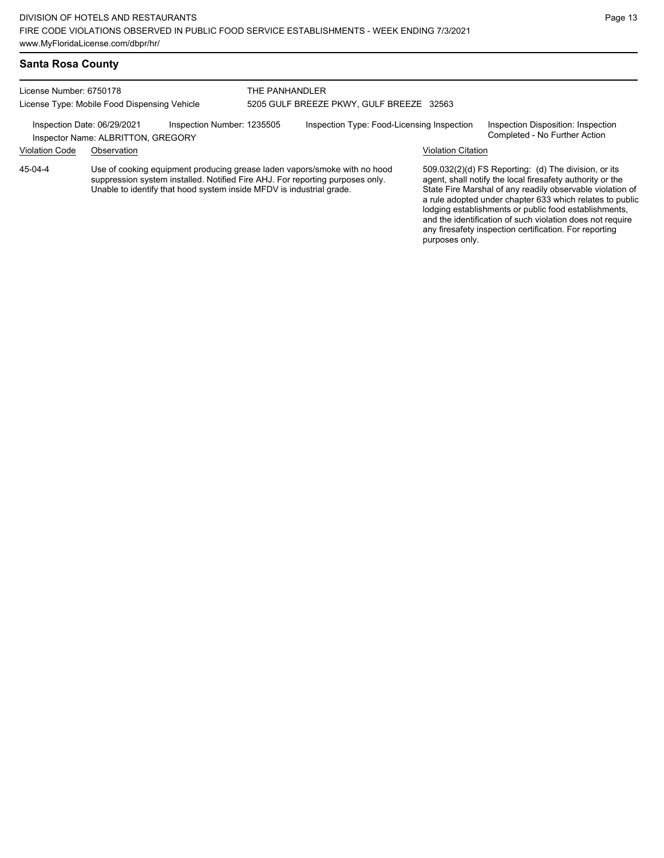#### **Santa Rosa County**

License Number: 6750178 License Type: Mobile Food Dispensing Vehicle

Inspector Name: ALBRITTON, GREGORY

THE PANHANDLER 5205 GULF BREEZE PKWY, GULF BREEZE 32563

Inspection Date: 06/29/2021 Inspection Number: 1235505 Inspection Type: Food-Licensing Inspection Inspection Disposition: Inspection<br>Inspector Name: ALBRITTON GREGORY

Violation Code Observation Violation Citation

Use of cooking equipment producing grease laden vapors/smoke with no hood suppression system installed. Notified Fire AHJ. For reporting purposes only. Unable to identify that hood system inside MFDV is industrial grade. 45-04-4

509.032(2)(d) FS Reporting: (d) The division, or its agent, shall notify the local firesafety authority or the State Fire Marshal of any readily observable violation of a rule adopted under chapter 633 which relates to public lodging establishments or public food establishments, and the identification of such violation does not require any firesafety inspection certification. For reporting purposes only.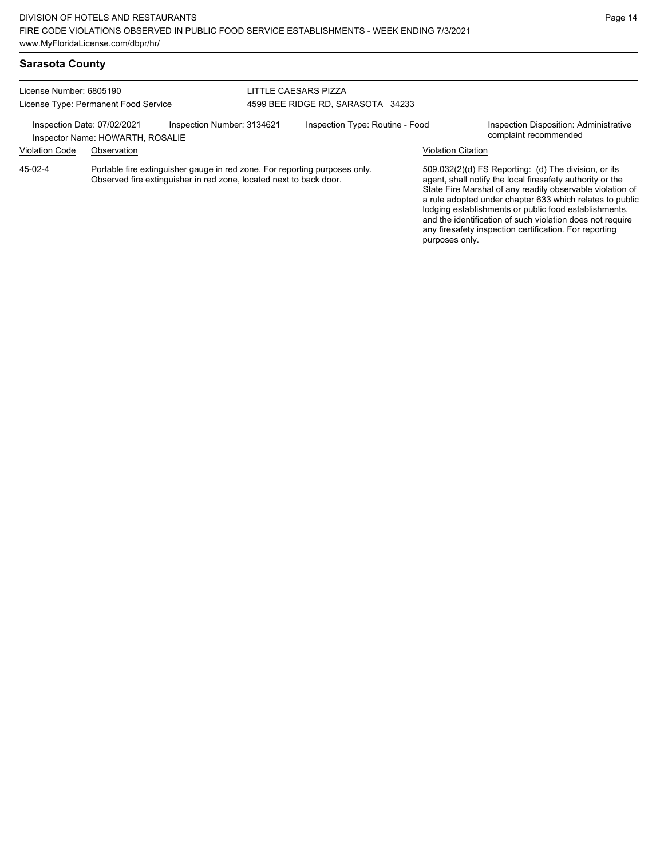and the identification of such violation does not require any firesafety inspection certification. For reporting

purposes only.

# **Sarasota County**

| License Number: 6805190<br>License Type: Permanent Food Service                               |             |                                                                                                                                                  | LITTLE CAESARS PIZZA              |  |                                                                 |                                                                                                                                                                                                                                                                                                     |  |  |
|-----------------------------------------------------------------------------------------------|-------------|--------------------------------------------------------------------------------------------------------------------------------------------------|-----------------------------------|--|-----------------------------------------------------------------|-----------------------------------------------------------------------------------------------------------------------------------------------------------------------------------------------------------------------------------------------------------------------------------------------------|--|--|
|                                                                                               |             |                                                                                                                                                  | 4599 BEE RIDGE RD, SARASOTA 34233 |  |                                                                 |                                                                                                                                                                                                                                                                                                     |  |  |
| Inspection Number: 3134621<br>Inspection Date: 07/02/2021<br>Inspector Name: HOWARTH, ROSALIE |             |                                                                                                                                                  | Inspection Type: Routine - Food   |  | Inspection Disposition: Administrative<br>complaint recommended |                                                                                                                                                                                                                                                                                                     |  |  |
| <b>Violation Code</b>                                                                         | Observation |                                                                                                                                                  |                                   |  |                                                                 | <b>Violation Citation</b>                                                                                                                                                                                                                                                                           |  |  |
| $45-02-4$                                                                                     |             | Portable fire extinguisher gauge in red zone. For reporting purposes only.<br>Observed fire extinguisher in red zone, located next to back door. |                                   |  |                                                                 | 509.032(2)(d) FS Reporting: (d) The division, or its<br>agent, shall notify the local firesafety authority or the<br>State Fire Marshal of any readily observable violation of<br>a rule adopted under chapter 633 which relates to public<br>lodging establishments or public food establishments, |  |  |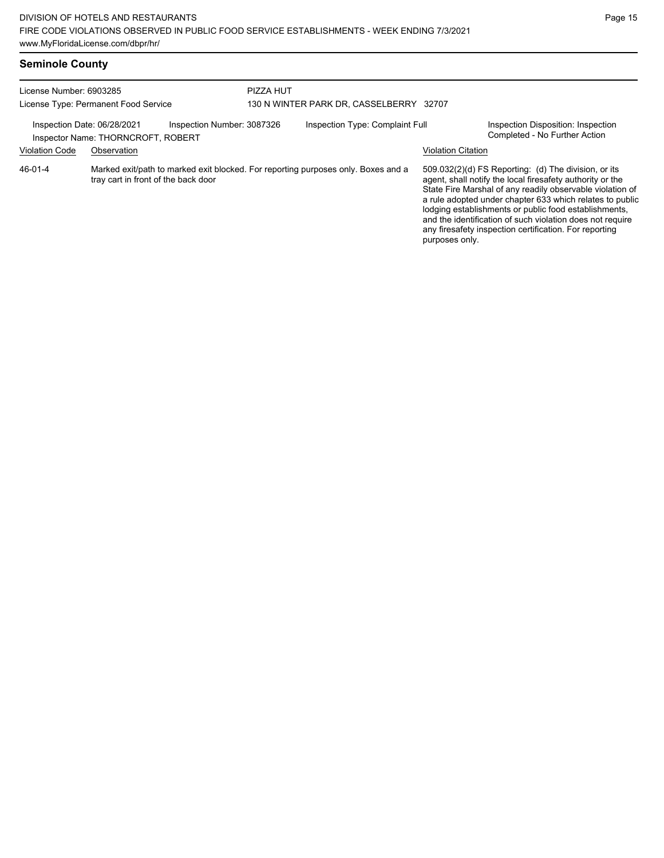## **Seminole County**

| License Number: 6903285<br>License Type: Permanent Food Service                                 |                                                                                                                          |  | PIZZA HUT<br>130 N WINTER PARK DR, CASSELBERRY |                                 |                           |                                                                                                                                                                                                                                                                                                                                                                                                                            |
|-------------------------------------------------------------------------------------------------|--------------------------------------------------------------------------------------------------------------------------|--|------------------------------------------------|---------------------------------|---------------------------|----------------------------------------------------------------------------------------------------------------------------------------------------------------------------------------------------------------------------------------------------------------------------------------------------------------------------------------------------------------------------------------------------------------------------|
| Inspection Number: 3087326<br>Inspection Date: 06/28/2021<br>Inspector Name: THORNCROFT, ROBERT |                                                                                                                          |  |                                                | Inspection Type: Complaint Full |                           | Inspection Disposition: Inspection<br>Completed - No Further Action                                                                                                                                                                                                                                                                                                                                                        |
| <b>Violation Code</b>                                                                           | Observation                                                                                                              |  |                                                |                                 | <b>Violation Citation</b> |                                                                                                                                                                                                                                                                                                                                                                                                                            |
| $46 - 01 - 4$                                                                                   | Marked exit/path to marked exit blocked. For reporting purposes only. Boxes and a<br>tray cart in front of the back door |  |                                                |                                 | purposes only.            | 509.032(2)(d) FS Reporting: (d) The division, or its<br>agent, shall notify the local firesafety authority or the<br>State Fire Marshal of any readily observable violation of<br>a rule adopted under chapter 633 which relates to public<br>lodging establishments or public food establishments,<br>and the identification of such violation does not require<br>any firesafety inspection certification. For reporting |